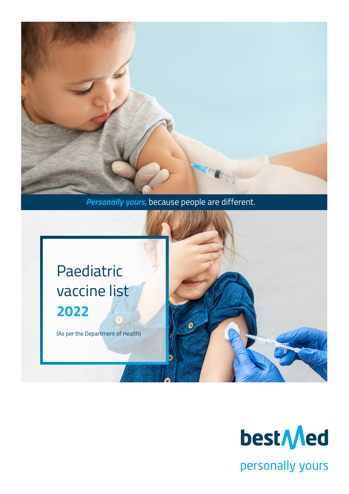

*Personally yours,* because people are different.



(As per the Department of Health)



personally yours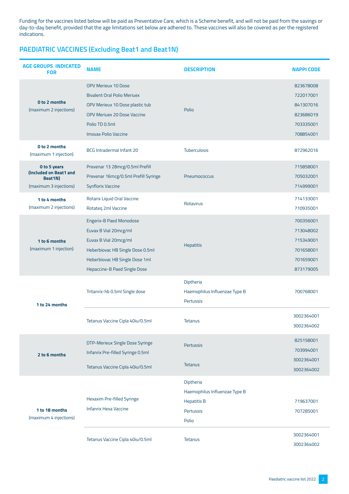Funding for the vaccines listed below will be paid as Preventative Care, which is a Scheme benefit, and will not be paid from the savings or day-to-day benefit, provided that the age limitations set below are adhered to. These vaccines will also be covered as per the registered indications.

# **PAEDIATRIC VACCINES (Excluding Beat1 and Beat1N)**

| <b>AGE GROUPS INDICATED</b><br><b>FOR</b>                                   | <b>NAME</b>                                                                                                                                                                                | <b>DESCRIPTION</b>                                                                            | <b>NAPPI CODE</b>                                                          |
|-----------------------------------------------------------------------------|--------------------------------------------------------------------------------------------------------------------------------------------------------------------------------------------|-----------------------------------------------------------------------------------------------|----------------------------------------------------------------------------|
| O to 2 months<br>(maximum 2 injections)                                     | <b>OPV Merieux 10 Dose</b><br><b>Bivalent Oral Polio Meriuex</b><br>OPV Merieux 10 Dose plastic tub<br><b>OPV Meriuex 20 Dose Vaccine</b><br>Polio TD 0.5ml<br><b>Imovax Polio Vaccine</b> | Polio                                                                                         | 823678008<br>722017001<br>841307016<br>823686019<br>703335001<br>708854001 |
| O to 2 months<br>(maximum 1 injection)                                      | BCG Intradermal Infant 20                                                                                                                                                                  | Tuberculosis                                                                                  | 872962016                                                                  |
| O to 5 years<br>(Included on Beat1 and<br>Beat1N)<br>(maximum 3 injections) | Prevenar 13 28mcg/0.5ml Prefill<br>Prevenar 16mcg/0.5ml Prefill Syringe<br><b>Synflorix Vaccine</b>                                                                                        | Pneumococcus                                                                                  | 715858001<br>705032001<br>714999001                                        |
| 1 to 4 months<br>(maximum 2 injections)                                     | Rotarix Liquid Oral Vaccine<br>Rotateg 2ml Vaccine                                                                                                                                         | <b>Rotavirus</b>                                                                              | 714133001<br>710935001                                                     |
| 1 to 6 months<br>(maximum 1 injection)                                      | <b>Engerix-B Paed Monodose</b><br>Euvax B Vial 20mcg/ml<br>Euvax B Vial 20mcg/ml<br>Heberbiovac HB Single Dose 0.5ml<br>Heberbiovac HB Single Dose 1ml<br>Hepaccine-B Paed Single Dose     | <b>Hepatitis</b>                                                                              | 700356001<br>713048002<br>715349001<br>701658001<br>701659001<br>873179005 |
| 1 to 24 months                                                              | Tritanrix-hb 0.5ml Single dose                                                                                                                                                             | Diptheria<br>Haemophilus Influenzae Type B<br><b>Pertussis</b>                                | 700768001                                                                  |
|                                                                             | Tetanus Vaccine Cipla 40iu/0.5ml                                                                                                                                                           | <b>Tetanus</b>                                                                                | 3002364001<br>3002364002                                                   |
| 2 to 6 months                                                               | DTP-Merieux Single Dose Syringe<br>Infanrix Pre-filled Syringe 0.5ml<br>Tetanus Vaccine Cipla 40iu/0.5ml                                                                                   | <b>Pertussis</b><br><b>Tetanus</b>                                                            | 825158001<br>703994001<br>3002364001<br>3002364002                         |
| 1 to 18 months<br>(maximum 4 injections)                                    | Hexaxim Pre-filled Syringe<br><b>Infanrix Hexa Vaccine</b>                                                                                                                                 | Diptheria<br>Haemophilus Influenzae Type B<br><b>Hepatitis B</b><br><b>Pertussis</b><br>Polio | 719637001<br>707285001                                                     |
|                                                                             | Tetanus Vaccine Cipla 40iu/0.5ml                                                                                                                                                           | <b>Tetanus</b>                                                                                | 3002364001<br>3002364002                                                   |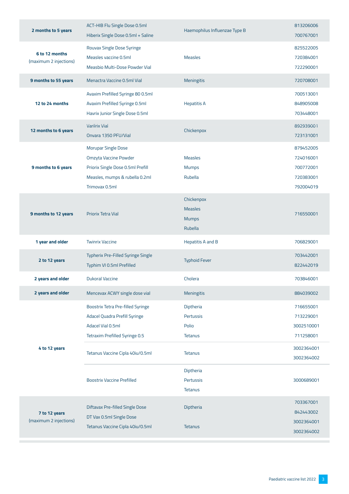| 2 months to 5 years                      | ACT-HIB Flu Single Dose 0.5ml<br>Hiberix Single Dose 0.5ml + Saline                                                                          | Haemophilus Influenzae Type B                                  | 813206006<br>700767001                                        |
|------------------------------------------|----------------------------------------------------------------------------------------------------------------------------------------------|----------------------------------------------------------------|---------------------------------------------------------------|
| 6 to 12 months<br>(maximum 2 injections) | Rouvax Single Dose Syringe<br>Measles vaccine 0.5ml<br>Measbio Multi-Dose Powder Vial                                                        | <b>Measles</b>                                                 | 825522005<br>720384001<br>722290001                           |
| 9 months to 55 years                     | Menactra Vaccine 0.5ml Vial                                                                                                                  | <b>Meningitis</b>                                              | 720708001                                                     |
| 12 to 24 months                          | Avaxim Prefilled Syringe 80 0.5ml<br>Avaxim Prefilled Syringe 0.5ml<br>Havrix Junior Single Dose 0.5ml                                       | <b>Hepatitis A</b>                                             | 700513001<br>848905008<br>703448001                           |
| 12 months to 6 years                     | Variirix Viai<br>Onvara 1350 PFU/Vial                                                                                                        | Chickenpox                                                     | 892939001<br>723131001                                        |
| 9 months to 6 years                      | <b>Morupar Single Dose</b><br>Omzyta Vaccine Powder<br>Priorix Single Dose 0.5ml Prefill<br>Measles, mumps & rubella 0.2ml<br>Trimovax 0.5ml | <b>Measles</b><br><b>Mumps</b><br>Rubella                      | 879452005<br>724016001<br>700772001<br>720383001<br>792004019 |
| 9 months to 12 years                     | <b>Priorix Tetra Vial</b>                                                                                                                    | Chickenpox<br><b>Measles</b><br><b>Mumps</b><br><b>Rubella</b> | 716550001                                                     |
| 1 year and older                         | <b>Twinrix Vaccine</b>                                                                                                                       | <b>Hepatitis A and B</b>                                       | 706829001                                                     |
| 2 to 12 years                            | Typherix Pre-Filled Syringe Single<br>Typhim VI 0.5ml Prefilled                                                                              | <b>Typhoid Fever</b>                                           | 703442001<br>822442019                                        |
| 2 years and older                        | <b>Dukoral Vaccine</b>                                                                                                                       | Cholera                                                        | 703846001                                                     |
| 2 years and older                        | Mencevax ACWY single dose vial                                                                                                               | Meningitis                                                     | 884039002                                                     |
|                                          | Boostrix Tetra Pre-filled Syringe<br>Adacel Quadra Prefill Syringe<br>Adacel Vial 0.5ml<br>Tetraxim Prefilled Syringe 0.5                    | Diptheria<br><b>Pertussis</b><br>Polio<br><b>Tetanus</b>       | 716655001<br>713229001<br>3002510001<br>711258001             |
| 4 to 12 years                            | Tetanus Vaccine Cipla 40iu/0.5ml                                                                                                             | <b>Tetanus</b>                                                 | 3002364001<br>3002364002                                      |
|                                          | <b>Boostrix Vaccine Prefilled</b>                                                                                                            | Diptheria<br>Pertussis<br><b>Tetanus</b>                       | 3000689001                                                    |
| 7 to 12 years<br>(maximum 2 injections)  | Diftavax Pre-filled Single Dose<br>DT Vax 0.5ml Single Dose<br>Tetanus Vaccine Cipla 40iu/0.5ml                                              | Diptheria<br><b>Tetanus</b>                                    | 703367001<br>842443002<br>3002364001                          |
|                                          |                                                                                                                                              |                                                                | 3002364002                                                    |